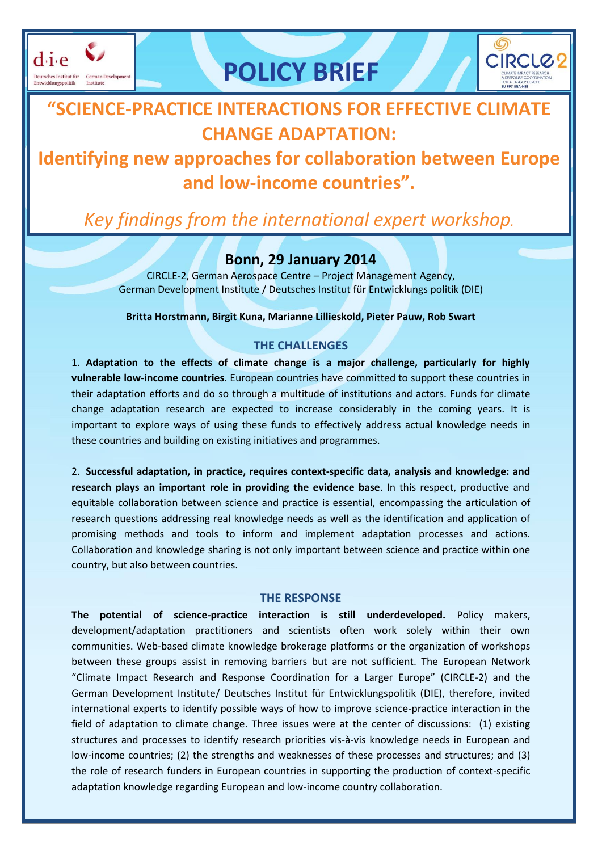



## **"SCIENCE-PRACTICE INTERACTIONS FOR EFFECTIVE CLIMATE CHANGE ADAPTATION:**

### **Identifying new approaches for collaboration between Europe and low-income countries".**

# *Key findings from the international expert workshop.*

### **Bonn, 29 January 2014**

CIRCLE-2, German Aerospace Centre – Project Management Agency, German Development Institute / Deutsches Institut für Entwicklungs politik (DIE)

**Britta Horstmann, Birgit Kuna, Marianne Lillieskold, Pieter Pauw, Rob Swart**

#### **THE CHALLENGES**

1. **Adaptation to the effects of climate change is a major challenge, particularly for highly vulnerable low-income countries**. European countries have committed to support these countries in their adaptation efforts and do so through a multitude of institutions and actors. Funds for climate change adaptation research are expected to increase considerably in the coming years. It is important to explore ways of using these funds to effectively address actual knowledge needs in these countries and building on existing initiatives and programmes.

2. **Successful adaptation, in practice, requires context-specific data, analysis and knowledge: and research plays an important role in providing the evidence base**. In this respect, productive and equitable collaboration between science and practice is essential, encompassing the articulation of research questions addressing real knowledge needs as well as the identification and application of promising methods and tools to inform and implement adaptation processes and actions. Collaboration and knowledge sharing is not only important between science and practice within one country, but also between countries.

#### **THE RESPONSE**

**The potential of science-practice interaction is still underdeveloped.** Policy makers, development/adaptation practitioners and scientists often work solely within their own communities. Web-based climate knowledge brokerage platforms or the organization of workshops between these groups assist in removing barriers but are not sufficient. The European Network "Climate Impact Research and Response Coordination for a Larger Europe" (CIRCLE-2) and the German Development Institute/ Deutsches Institut für Entwicklungspolitik (DIE), therefore, invited international experts to identify possible ways of how to improve science-practice interaction in the field of adaptation to climate change. Three issues were at the center of discussions: (1) existing structures and processes to identify research priorities vis-à-vis knowledge needs in European and low-income countries; (2) the strengths and weaknesses of these processes and structures; and (3) the role of research funders in European countries in supporting the production of context-specific adaptation knowledge regarding European and low-income country collaboration.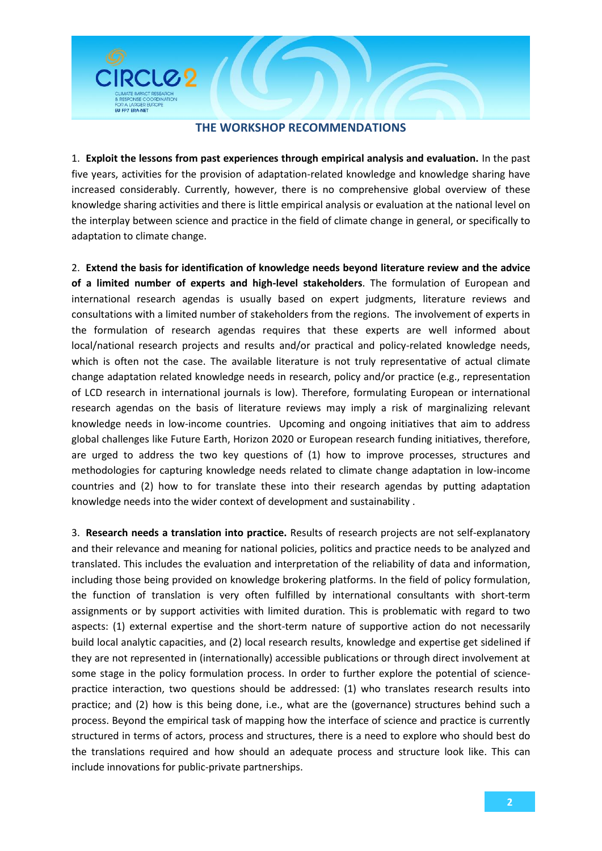#### **THE WORKSHOP RECOMMENDATIONS**

RCLC<sub>2</sub>

FULFRZ ERA-NET

1. **Exploit the lessons from past experiences through empirical analysis and evaluation.** In the past five years, activities for the provision of adaptation-related knowledge and knowledge sharing have increased considerably. Currently, however, there is no comprehensive global overview of these knowledge sharing activities and there is little empirical analysis or evaluation at the national level on the interplay between science and practice in the field of climate change in general, or specifically to adaptation to climate change.

2. **Extend the basis for identification of knowledge needs beyond literature review and the advice of a limited number of experts and high-level stakeholders**. The formulation of European and international research agendas is usually based on expert judgments, literature reviews and consultations with a limited number of stakeholders from the regions. The involvement of experts in the formulation of research agendas requires that these experts are well informed about local/national research projects and results and/or practical and policy-related knowledge needs, which is often not the case. The available literature is not truly representative of actual climate change adaptation related knowledge needs in research, policy and/or practice (e.g., representation of LCD research in international journals is low). Therefore, formulating European or international research agendas on the basis of literature reviews may imply a risk of marginalizing relevant knowledge needs in low-income countries. Upcoming and ongoing initiatives that aim to address global challenges like Future Earth, Horizon 2020 or European research funding initiatives, therefore, are urged to address the two key questions of (1) how to improve processes, structures and methodologies for capturing knowledge needs related to climate change adaptation in low-income countries and (2) how to for translate these into their research agendas by putting adaptation knowledge needs into the wider context of development and sustainability .

3. **Research needs a translation into practice.** Results of research projects are not self-explanatory and their relevance and meaning for national policies, politics and practice needs to be analyzed and translated. This includes the evaluation and interpretation of the reliability of data and information, including those being provided on knowledge brokering platforms. In the field of policy formulation, the function of translation is very often fulfilled by international consultants with short-term assignments or by support activities with limited duration. This is problematic with regard to two aspects: (1) external expertise and the short-term nature of supportive action do not necessarily build local analytic capacities, and (2) local research results, knowledge and expertise get sidelined if they are not represented in (internationally) accessible publications or through direct involvement at some stage in the policy formulation process. In order to further explore the potential of sciencepractice interaction, two questions should be addressed: (1) who translates research results into practice; and (2) how is this being done, i.e., what are the (governance) structures behind such a process. Beyond the empirical task of mapping how the interface of science and practice is currently structured in terms of actors, process and structures, there is a need to explore who should best do the translations required and how should an adequate process and structure look like. This can include innovations for public-private partnerships.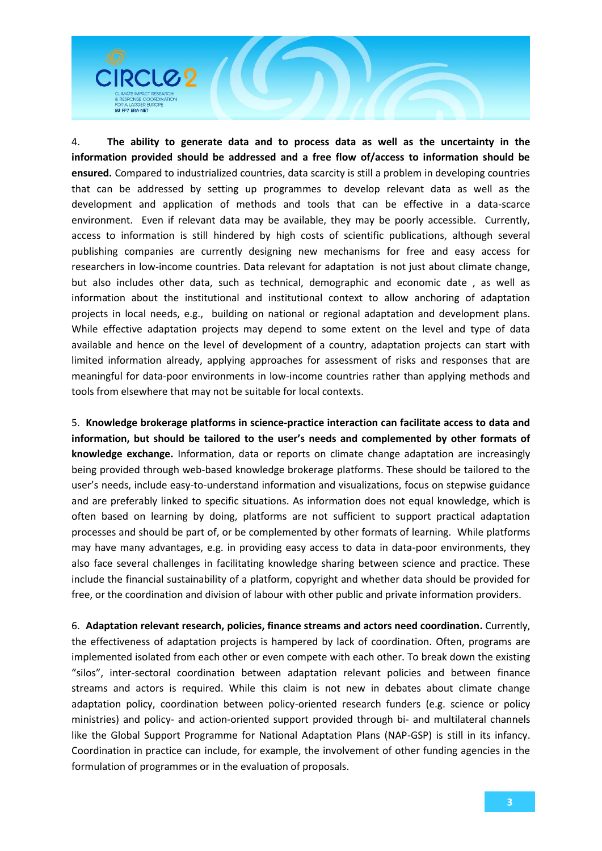

4. **The ability to generate data and to process data as well as the uncertainty in the information provided should be addressed and a free flow of/access to information should be ensured.** Compared to industrialized countries, data scarcity is still a problem in developing countries that can be addressed by setting up programmes to develop relevant data as well as the development and application of methods and tools that can be effective in a data-scarce environment. Even if relevant data may be available, they may be poorly accessible. Currently, access to information is still hindered by high costs of scientific publications, although several publishing companies are currently designing new mechanisms for free and easy access for researchers in low-income countries. Data relevant for adaptation is not just about climate change, but also includes other data, such as technical, demographic and economic date , as well as information about the institutional and institutional context to allow anchoring of adaptation projects in local needs, e.g., building on national or regional adaptation and development plans. While effective adaptation projects may depend to some extent on the level and type of data available and hence on the level of development of a country, adaptation projects can start with limited information already, applying approaches for assessment of risks and responses that are meaningful for data-poor environments in low-income countries rather than applying methods and tools from elsewhere that may not be suitable for local contexts.

5. **Knowledge brokerage platforms in science-practice interaction can facilitate access to data and information, but should be tailored to the user's needs and complemented by other formats of knowledge exchange.** Information, data or reports on climate change adaptation are increasingly being provided through web-based knowledge brokerage platforms. These should be tailored to the user's needs, include easy-to-understand information and visualizations, focus on stepwise guidance and are preferably linked to specific situations. As information does not equal knowledge, which is often based on learning by doing, platforms are not sufficient to support practical adaptation processes and should be part of, or be complemented by other formats of learning. While platforms may have many advantages, e.g. in providing easy access to data in data-poor environments, they also face several challenges in facilitating knowledge sharing between science and practice. These include the financial sustainability of a platform, copyright and whether data should be provided for free, or the coordination and division of labour with other public and private information providers.

6. **Adaptation relevant research, policies, finance streams and actors need coordination.** Currently, the effectiveness of adaptation projects is hampered by lack of coordination. Often, programs are implemented isolated from each other or even compete with each other. To break down the existing "silos", inter-sectoral coordination between adaptation relevant policies and between finance streams and actors is required. While this claim is not new in debates about climate change adaptation policy, coordination between policy-oriented research funders (e.g. science or policy ministries) and policy- and action-oriented support provided through bi- and multilateral channels like the Global Support Programme for National Adaptation Plans (NAP-GSP) is still in its infancy. Coordination in practice can include, for example, the involvement of other funding agencies in the formulation of programmes or in the evaluation of proposals.